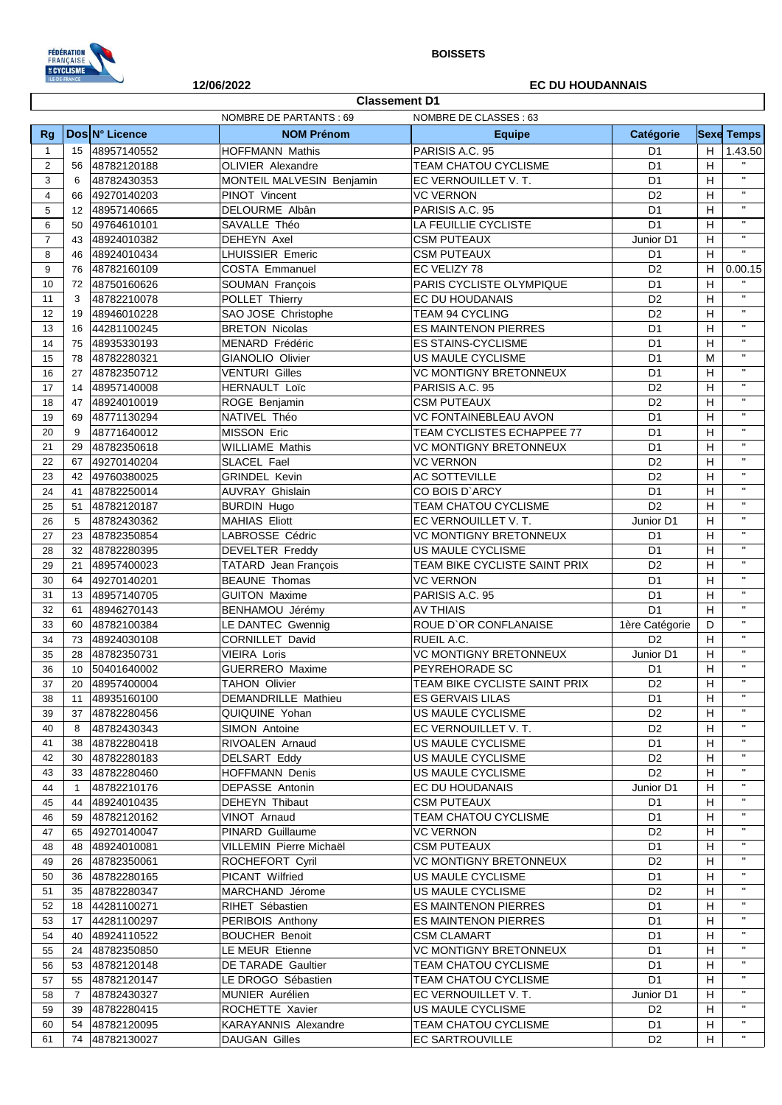

12/06/2022

## **BOISSETS**

## **EC DU HOUDANNAIS**

٦

|                | <b>Classement D1</b>                                   |                |                            |                               |                |                           |                   |  |
|----------------|--------------------------------------------------------|----------------|----------------------------|-------------------------------|----------------|---------------------------|-------------------|--|
|                | <b>NOMBRE DE PARTANTS: 69</b><br>NOMBRE DE CLASSES: 63 |                |                            |                               |                |                           |                   |  |
| Rg             |                                                        | Dos N° Licence | <b>NOM Prénom</b>          | <b>Equipe</b>                 | Catégorie      |                           | <b>Sexe Temps</b> |  |
| $\mathbf{1}$   | 15                                                     | 48957140552    | <b>HOFFMANN Mathis</b>     | PARISIS A.C. 95               | D <sub>1</sub> | H                         | 1.43.50           |  |
| 2              | 56                                                     | 48782120188    | <b>OLIVIER Alexandre</b>   | <b>TEAM CHATOU CYCLISME</b>   | D <sub>1</sub> | H                         |                   |  |
| 3              | 6                                                      | 48782430353    | MONTEIL MALVESIN Benjamin  | EC VERNOUILLET V.T.           | D <sub>1</sub> | H                         | $\mathbf{H}$      |  |
| 4              | 66                                                     | 49270140203    | PINOT Vincent              | <b>VC VERNON</b>              | D <sub>2</sub> | H                         | $\mathbf{H}$      |  |
| 5              | 12                                                     | 48957140665    | DELOURME Albân             | PARISIS A.C. 95               | D <sub>1</sub> | H                         | $\mathbf{u}$      |  |
| 6              | 50                                                     | 49764610101    | SAVALLE Théo               | LA FEUILLIE CYCLISTE          | D <sub>1</sub> | н                         | $\mathbf{H}$      |  |
| $\overline{7}$ | 43                                                     | 48924010382    | <b>DEHEYN Axel</b>         | <b>CSM PUTEAUX</b>            | Junior D1      | H                         | $\mathbf{H}$      |  |
| 8              | 46                                                     | 48924010434    | <b>LHUISSIER Emeric</b>    | <b>CSM PUTEAUX</b>            | D <sub>1</sub> | H                         | $\mathbf{u}$      |  |
| 9              | 76                                                     | 48782160109    | <b>COSTA Emmanuel</b>      | EC VELIZY 78                  | D <sub>2</sub> | н                         | 0.00.15           |  |
| 10             | 72                                                     | 48750160626    | SOUMAN François            | PARIS CYCLISTE OLYMPIQUE      | D <sub>1</sub> | H                         |                   |  |
| 11             | 3                                                      | 48782210078    | POLLET Thierry             | EC DU HOUDANAIS               | D <sub>2</sub> | H                         | $\mathbf{u}$      |  |
| 12             | 19                                                     | 48946010228    | SAO JOSE Christophe        | TEAM 94 CYCLING               | D <sub>2</sub> | H                         | $\mathbf{H}$      |  |
| 13             | 16                                                     | 44281100245    | <b>BRETON Nicolas</b>      | <b>ES MAINTENON PIERRES</b>   | D <sub>1</sub> | H                         | $\mathbf{H}$      |  |
| 14             | 75                                                     | 48935330193    | MENARD Frédéric            | <b>ES STAINS-CYCLISME</b>     | D <sub>1</sub> | H                         | $\mathbf{u}$      |  |
| 15             | 78                                                     | 48782280321    | GIANOLIO Olivier           | <b>US MAULE CYCLISME</b>      | D <sub>1</sub> | M                         | $\mathbf{u}$      |  |
| 16             | 27                                                     | 48782350712    | <b>VENTURI Gilles</b>      | <b>VC MONTIGNY BRETONNEUX</b> | D <sub>1</sub> | H                         | $\mathbf{H}$      |  |
| 17             | 14                                                     | 48957140008    | <b>HERNAULT Loïc</b>       | PARISIS A.C. 95               | D <sub>2</sub> | H                         | $\mathbf{H}$      |  |
| 18             | 47                                                     | 48924010019    | ROGE Benjamin              | <b>CSM PUTEAUX</b>            | D <sub>2</sub> | H                         | $\mathbf{H}$      |  |
| 19             | 69                                                     | 48771130294    | NATIVEL Théo               | <b>VC FONTAINEBLEAU AVON</b>  | D <sub>1</sub> | H                         | $\mathbf{H}$      |  |
| 20             | 9                                                      | 48771640012    | MISSON Eric                | TEAM CYCLISTES ECHAPPEE 77    | D <sub>1</sub> | H                         | $\mathbf{u}$      |  |
| 21             | 29                                                     | 48782350618    | <b>WILLIAME Mathis</b>     | <b>VC MONTIGNY BRETONNEUX</b> | D <sub>1</sub> | H                         | $\mathbf{H}$      |  |
| 22             | 67                                                     | 49270140204    | <b>SLACEL Fael</b>         | <b>VC VERNON</b>              | D <sub>2</sub> | H                         | $\mathbf{u}$      |  |
| 23             | 42                                                     | 49760380025    | <b>GRINDEL Kevin</b>       | AC SOTTEVILLE                 | D <sub>2</sub> | H                         | $\mathbf{u}$      |  |
| 24             | 41                                                     | 48782250014    | <b>AUVRAY Ghislain</b>     | CO BOIS D'ARCY                | D <sub>1</sub> | H                         | $\mathbf{u}$      |  |
| 25             | 51                                                     | 48782120187    | <b>BURDIN Hugo</b>         | TEAM CHATOU CYCLISME          | D <sub>2</sub> | н                         | $\mathbf{H}$      |  |
| 26             | 5                                                      | 48782430362    | <b>MAHIAS Eliott</b>       | EC VERNOUILLET V. T.          | Junior D1      | H                         | $\mathbf{u}$      |  |
| 27             | 23                                                     | 48782350854    | LABROSSE Cédric            | <b>VC MONTIGNY BRETONNEUX</b> | D1             | H                         | $\mathbf{H}$      |  |
| 28             | 32                                                     | 48782280395    | <b>DEVELTER Freddy</b>     | US MAULE CYCLISME             | D <sub>1</sub> | H                         | $\mathbf{u}$      |  |
| 29             | 21                                                     | 48957400023    | TATARD Jean François       | TEAM BIKE CYCLISTE SAINT PRIX | D <sub>2</sub> | H                         | $\mathbf{H}$      |  |
| 30             | 64                                                     | 49270140201    | <b>BEAUNE Thomas</b>       | <b>VC VERNON</b>              | D <sub>1</sub> | н                         | $\mathbf{H}$      |  |
| 31             | 13                                                     | 48957140705    | <b>GUITON Maxime</b>       | PARISIS A.C. 95               | D <sub>1</sub> | H                         | $\mathbf{u}$      |  |
| 32             | 61                                                     | 48946270143    | BENHAMOU Jérémy            | <b>AV THIAIS</b>              | D <sub>1</sub> | H                         | $\mathbf{u}$      |  |
| 33             | 60                                                     | 48782100384    | LE DANTEC Gwennig          | ROUE D'OR CONFLANAISE         | 1ère Catégorie | D                         | $\mathbf{H}$      |  |
| 34             | 73                                                     | 48924030108    | <b>CORNILLET David</b>     | RUEIL A.C.                    | D <sub>2</sub> | H                         | $\mathbf{u}$      |  |
| 35             | 28                                                     | 48782350731    | <b>VIEIRA Loris</b>        | <b>VC MONTIGNY BRETONNEUX</b> | Junior D1      | H                         | $\mathbf{H}$      |  |
| 36             | 10                                                     | 50401640002    | GUERRERO Maxime            | PEYREHORADE SC                | D1             | $\boldsymbol{\mathsf{H}}$ | $\mathbf{u}$      |  |
| 37             | 20                                                     | 48957400004    | <b>TAHON Olivier</b>       | TEAM BIKE CYCLISTE SAINT PRIX | D <sub>2</sub> | $\overline{H}$            | $\mathbf{H}$      |  |
| 38             | 11                                                     | 48935160100    | <b>DEMANDRILLE Mathieu</b> | <b>ES GERVAIS LILAS</b>       | D1             | H                         | $\mathbf{H}$      |  |
| 39             | 37                                                     | 48782280456    | QUIQUINE Yohan             | US MAULE CYCLISME             | D <sub>2</sub> | H                         | $\mathbf{u}$      |  |
| 40             | 8                                                      | 48782430343    | SIMON Antoine              | EC VERNOUILLET V.T.           | D <sub>2</sub> | H                         | $\mathbf{H}$      |  |
| 41             | 38                                                     | 48782280418    | RIVOALEN Arnaud            | US MAULE CYCLISME             | D <sub>1</sub> | H                         | $\mathbf{H}$      |  |
| 42             | 30                                                     | 48782280183    | <b>DELSART Eddy</b>        | US MAULE CYCLISME             | D <sub>2</sub> | H                         | $\mathbf{H}$      |  |
| 43             | 33                                                     | 48782280460    | HOFFMANN Denis             | US MAULE CYCLISME             | D <sub>2</sub> | н                         | п                 |  |
| 44             | $\overline{1}$                                         | 48782210176    | DEPASSE Antonin            | EC DU HOUDANAIS               | Junior D1      | H                         |                   |  |
| 45             | 44                                                     | 48924010435    | DEHEYN Thibaut             | <b>CSM PUTEAUX</b>            | D <sub>1</sub> | H                         | $\mathbf{u}$      |  |
| 46             | 59                                                     | 48782120162    | VINOT Arnaud               | <b>TEAM CHATOU CYCLISME</b>   | D <sub>1</sub> | H                         | $\mathbf{H}$      |  |
| 47             | 65                                                     | 49270140047    | PINARD Guillaume           | <b>VC VERNON</b>              | D <sub>2</sub> | H                         | $\mathbf{H}$      |  |
| 48             | 48                                                     | 48924010081    | VILLEMIN Pierre Michaël    | <b>CSM PUTEAUX</b>            | D <sub>1</sub> | H                         | $\mathbf{H}$      |  |
| 49             | 26                                                     | 48782350061    | ROCHEFORT Cyril            | VC MONTIGNY BRETONNEUX        | D <sub>2</sub> | н                         | $\mathbf{u}$      |  |
| 50             | 36                                                     | 48782280165    | PICANT Wilfried            | US MAULE CYCLISME             | D <sub>1</sub> | H                         | $\mathbf{H}$      |  |
| 51             | 35                                                     | 48782280347    | MARCHAND Jérome            | US MAULE CYCLISME             | D <sub>2</sub> | H                         | $\mathbf{H}$      |  |
| 52             | 18                                                     | 44281100271    | RIHET Sébastien            | <b>ES MAINTENON PIERRES</b>   | D1             | H                         | $\mathbf{H}$      |  |
| 53             | 17                                                     | 44281100297    | PERIBOIS Anthony           | ES MAINTENON PIERRES          | D1             | H                         | $\mathbf{H}$      |  |
| 54             | 40                                                     | 48924110522    | <b>BOUCHER Benoit</b>      | <b>CSM CLAMART</b>            | D <sub>1</sub> | н                         | $\mathbf{H}$      |  |
| 55             | 24                                                     | 48782350850    | LE MEUR Etienne            | <b>VC MONTIGNY BRETONNEUX</b> | D <sub>1</sub> | H                         | $\mathbf{H}$      |  |
| 56             | 53                                                     | 48782120148    | <b>DE TARADE Gaultier</b>  | TEAM CHATOU CYCLISME          | D <sub>1</sub> | H                         | $\mathbf{H}$      |  |
| 57             | 55                                                     | 48782120147    | LE DROGO Sébastien         | TEAM CHATOU CYCLISME          | D <sub>1</sub> | H                         | $\mathbf{H}$      |  |
| 58             | $\overline{7}$                                         | 48782430327    | MUNIER Aurélien            | EC VERNOUILLET V.T.           | Junior D1      | H                         | $\mathbf{H}$      |  |
| 59             | 39                                                     | 48782280415    | ROCHETTE Xavier            | US MAULE CYCLISME             | D <sub>2</sub> | H                         | $\mathbf{H}$      |  |
| 60             | 54                                                     | 48782120095    | KARAYANNIS Alexandre       | TEAM CHATOU CYCLISME          | D1             | н                         |                   |  |
| 61             | 74                                                     | 48782130027    | <b>DAUGAN Gilles</b>       | EC SARTROUVILLE               | D <sub>2</sub> | н                         | $\mathbf{H}$      |  |